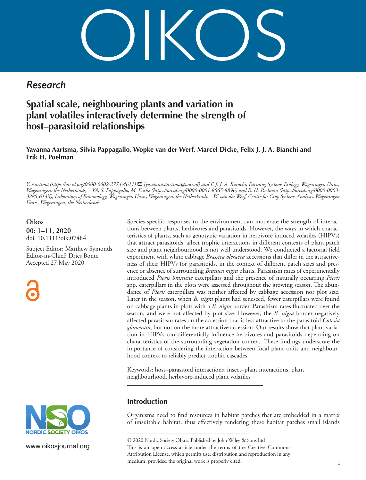OIKOS

# *Research*

# **Spatial scale, neighbouring plants and variation in plant volatiles interactively determine the strength of host–parasitoid relationships**

**Yavanna Aartsma, Silvia Pappagallo, Wopke van der Werf, Marcel Dicke, Felix J. J. A. Bianchi and Erik H. Poelman**

*Y. Aartsma (https://orcid.org/0000-0002-2774-4611)* ✉ *(yavanna.aartsma@wur.nl) and F. J. J. A. Bianchi, Farming Systems Ecology, Wageningen Univ., Wageningen, the Netherlands, – YA, S. Pappagallo, M. Dicke (https://orcid.org/0000-0001-8565-8896) and E. H. Poelman (https://orcid.org/0000-0003- 3285-613X), Laboratory of Entomology, Wageningen Univ., Wageningen, the Netherlands. – W. van der Werf, Centre for Crop Systems Analysis, Wageningen Univ., Wageningen, the Netherlands.*

**Oikos 00: 1–11, 2020** [doi: 10.1111/oik.07484](http://dx.doi.org/10.1111/oik.07484)

Subject Editor: Matthew Symonds Editor-in-Chief: Dries Bonte Accepted 27 May 2020





www.oikosjournal.org

Species-specific responses to the environment can moderate the strength of interactions between plants, herbivores and parasitoids. However, the ways in which characteristics of plants, such as genotypic variation in herbivore induced volatiles (HIPVs) that attract parasitoids, affect trophic interactions in different contexts of plant patch size and plant neighbourhood is not well understood. We conducted a factorial field experiment with white cabbage *Brassica oleracea* accessions that differ in the attractiveness of their HIPVs for parasitoids, in the context of different patch sizes and presence or absence of surrounding *Brassica nigra* plants. Parasitism rates of experimentally introduced *Pieris brassicae* caterpillars and the presence of naturally occurring *Pieris* spp. caterpillars in the plots were assessed throughout the growing season. The abundance of *Pieris* caterpillars was neither affected by cabbage accession nor plot size. Later in the season, when *B. nigra* plants had senesced, fewer caterpillars were found on cabbage plants in plots with a *B. nigra* border. Parasitism rates fluctuated over the season, and were not affected by plot size. However, the *B. nigra* border negatively affected parasitism rates on the accession that is less attractive to the parasitoid *Cotesia glomerata*, but not on the more attractive accession. Our results show that plant variation in HIPVs can differentially influence herbivores and parasitoids depending on characteristics of the surrounding vegetation context. These findings underscore the importance of considering the interaction between focal plant traits and neighbourhood context to reliably predict trophic cascades.

Keywords: host–parasitoid interactions, insect–plant interactions, plant neighbourhood, herbivore-induced plant volatiles

# **Introduction**

Organisms need to find resources in habitat patches that are embedded in a matrix of unsuitable habitat, thus effectively rendering these habitat patches small islands

––––––––––––––––––––––––––––––––––––––––

<sup>© 2020</sup> Nordic Society OIkos. Published by John Wiley & Sons Ltd This is an open access article under the terms of the Creative Commons Attribution License, which permits use, distribution and reproduction in any medium, provided the original work is properly cited.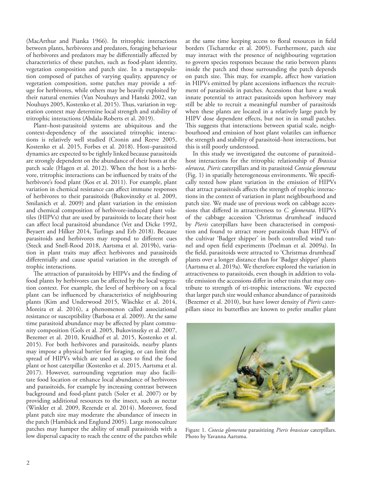(MacArthur and Pianka 1966). In tritrophic interactions between plants, herbivores and predators, foraging behaviour of herbivores and predators may be differentially affected by characteristics of these patches, such as food-plant identity, vegetation composition and patch size. In a metapopulation composed of patches of varying quality, apparency or vegetation composition, some patches may provide a refuge for herbivores, while others may be heavily exploited by their natural enemies (Van Nouhuys and Hanski 2002, van Nouhuys 2005, Kostenko et al. 2015). Thus, variation in vegetation context may determine local strength and stability of tritrophic interactions (Abdala-Roberts et al. 2019).

Plant–host-parasitoid systems are ubiquitous and the context-dependency of the associated tritrophic interactions is relatively well studied (Cronin and Reeve 2005, Kostenko et al. 2015, Forbes et al. 2018). Host–parasitoid dynamics are expected to be tightly linked because parasitoids are strongly dependent on the abundance of their hosts at the patch scale (Hagen et al. 2012). When the host is a herbivore, tritrophic interactions can be influenced by traits of the herbivore's food plant (Kos et al. 2011). For example, plant variation in chemical resistance can affect immune responses of herbivores to their parasitoids (Bukovinszky et al. 2009, Smilanich et al. 2009) and plant variation in the emission and chemical composition of herbivore-induced plant volatiles (HIPVs) that are used by parasitoids to locate their host can affect local parasitoid abundance (Vet and Dicke 1992, Beyaert and Hilker 2014, Turlings and Erb 2018). Because parasitoids and herbivores may respond to different cues (Steck and Snell-Rood 2018, Aartsma et al. 2019b), variation in plant traits may affect herbivores and parasitoids differentially and cause spatial variation in the strength of trophic interactions.

The attraction of parasitoids by HIPVs and the finding of food plants by herbivores can be affected by the local vegetation context. For example, the level of herbivory on a focal plant can be influenced by characteristics of neighbouring plants (Kim and Underwood 2015, Wäschke et al. 2014, Moreira et al. 2016), a phenomenon called associational resistance or susceptibility (Barbosa et al. 2009). At the same time parasitoid abundance may be affected by plant community composition (Gols et al. 2005, Bukovinszky et al. 2007, Bezemer et al. 2010, Kruidhof et al. 2015, Kostenko et al. 2015). For both herbivores and parasitoids, nearby plants may impose a physical barrier for foraging, or can limit the spread of HIPVs which are used as cues to find the food plant or host caterpillar (Kostenko et al. 2015, Aartsma et al. 2017). However, surrounding vegetation may also facilitate food location or enhance local abundance of herbivores and parasitoids, for example by increasing contrast between background and food-plant patch (Soler et al. 2007) or by providing additional resources to the insect, such as nectar (Winkler et al. 2009, Rezende et al. 2014). Moreover, food plant patch size may moderate the abundance of insects in the patch (Hambäck and Englund 2005). Large monoculture patches may hamper the ability of small parasitoids with a low dispersal capacity to reach the centre of the patches while

at the same time keeping access to floral resources in field borders (Tscharntke et al. 2005). Furthermore, patch size may interact with the presence of neighbouring vegetation to govern species responses because the ratio between plants inside the patch and those surrounding the patch depends on patch size. This may, for example, affect how variation in HIPVs emitted by plant accessions influences the recruitment of parasitoids in patches. Accessions that have a weak innate potential to attract parasitoids upon herbivory may still be able to recruit a meaningful number of parasitoids when these plants are located in a relatively large patch by HIPV dose dependent effects, but not in in small patches. This suggests that interactions between spatial scale, neighbourhood and emission of host plant volatiles can influence the strength and stability of parasitoid–host interactions, but this is still poorly understood.

In this study we investigated the outcome of parasitoid– host interactions for the tritrophic relationship of *Brassica oleracea, Pieris* caterpillars and its parasitoid *Cotesia glomerata* (Fig. 1) in spatially heterogeneous environments. We specifically tested how plant variation in the emission of HIPVs that attract parasitoids affects the strength of trophic interactions in the context of variation in plant neighbourhood and patch size. We made use of previous work on cabbage accessions that differed in attractiveness to *C. glomerata*. HIPVs of the cabbage accession 'Christmas drumhead' induced by *Pieris* caterpillars have been characterised in composition and found to attract more parasitoids than HIPVs of the cultivar 'Badger shipper' in both controlled wind tunnel and open field experiments (Poelman et al. 2009a). In the field, parasitoids were attracted to 'Christmas drumhead' plants over a longer distance than for 'Badger shipper' plants (Aartsma et al. 2019a). We therefore explored the variation in attractiveness to parasitoids, even though in addition to volatile emission the accessions differ in other traits that may contribute to strength of tri-trophic interactions. We expected that larger patch size would enhance abundance of parasitoids (Bezemer et al. 2010), but have lower density of *Pieris* caterpillars since its butterflies are known to prefer smaller plant



Figure 1. *Cotesia glomerata* parasitizing *Pieris brassicae* caterpillars. Photo by Yavanna Aartsma.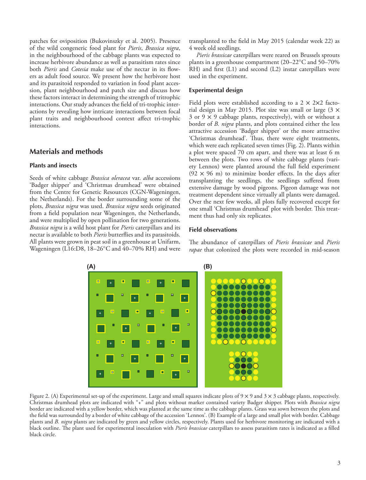patches for oviposition (Bukovinszky et al. 2005). Presence of the wild congeneric food plant for *Pieris*, *Brassica nigra*, in the neighbourhood of the cabbage plants was expected to increase herbivore abundance as well as parasitism rates since both *Pieris* and *Cotesia* make use of the nectar in its flowers as adult food source. We present how the herbivore host and its parasitoid responded to variation in food plant accession, plant neighbourhood and patch size and discuss how these factors interact in determining the strength of tritrophic interactions. Our study advances the field of tri-trophic interactions by revealing how intricate interactions between focal plant traits and neighbourhood context affect tri-trophic interactions.

### **Materials and methods**

#### **Plants and insects**

Seeds of white cabbage *Brassica oleracea* var. *alba* accessions 'Badger shipper' and 'Christmas drumhead' were obtained from the Centre for Genetic Resources (CGN-Wageningen, the Netherlands). For the border surrounding some of the plots, *Brassica nigra* was used. *Brassica nigra* seeds originated from a field population near Wageningen, the Netherlands, and were multiplied by open pollination for two generations. *Brassica nigra* is a wild host plant for *Pieris* caterpillars and its nectar is available to both *Pieris* butterflies and its parasitoids. All plants were grown in peat soil in a greenhouse at Unifarm, Wageningen (L16:D8, 18–26°C and 40–70% RH) and were transplanted to the field in May 2015 (calendar week 22) as 4 week old seedlings.

*Pieris brassicae* caterpillars were reared on Brussels sprouts plants in a greenhouse compartment (20–22°C and 50–70% RH) and first (L1) and second (L2) instar caterpillars were used in the experiment.

#### **Experimental design**

Field plots were established according to a  $2 \times 2 \times 2$  factorial design in May 2015. Plot size was small or large  $(3 \times$ 3 or  $9 \times 9$  cabbage plants, respectively), with or without a border of *B. nigra* plants, and plots contained either the less attractive accession 'Badger shipper' or the more attractive 'Christmas drumhead'. Thus, there were eight treatments, which were each replicated seven times (Fig. 2). Plants within a plot were spaced 70 cm apart, and there was at least 6 m between the plots. Two rows of white cabbage plants (variety Lennox) were planted around the full field experiment  $(92 \times 96 \text{ m})$  to minimize border effects. In the days after transplanting the seedlings, the seedlings suffered from extensive damage by wood pigeons. Pigeon damage was not treatment dependent since virtually all plants were damaged. Over the next few weeks, all plots fully recovered except for one small 'Christmas drumhead' plot with border. This treatment thus had only six replicates.

#### **Field observations**

The abundance of caterpillars of *Pieris brassicae* and *Pieris rapae* that colonized the plots were recorded in mid-season



Figure 2. (A) Experimental set-up of the experiment. Large and small squares indicate plots of  $9 \times 9$  and  $3 \times 3$  cabbage plants, respectively. Christmas drumhead plots are indicated with "+" and plots without marker contained variety Badger shipper. Plots with *Brassica nigra* border are indicated with a yellow border, which was planted at the same time as the cabbage plants. Grass was sown between the plots and the field was surrounded by a border of white cabbage of the accession 'Lennox'. (B) Example of a large and small plot with border. Cabbage plants and *B. nigra* plants are indicated by green and yellow circles, respectively. Plants used for herbivore monitoring are indicated with a black outline. The plant used for experimental inoculation with *Pieris brassicae* caterpillars to assess parasitism rates is indicated as a filled black circle.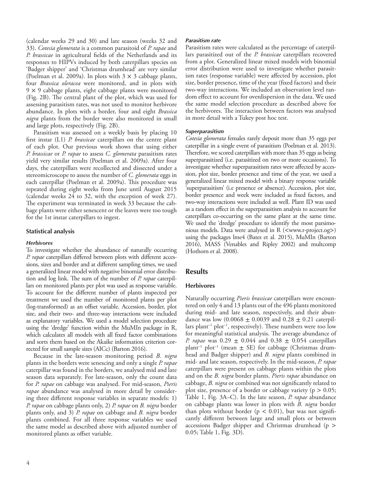(calendar weeks 29 and 30) and late season (weeks 32 and 33). *Cotesia glomerata* is a common parasitoid of *P. rapae* and *P. brassicae* in agricultural fields of the Netherlands and its responses to HIPVs induced by both caterpillars species on 'Badger shipper' and 'Christmas drumhead' are very similar (Poelman et al. 2009a). In plots with  $3 \times 3$  cabbage plants, four *Brassica oleracea* were monitored, and in plots with  $9 \times 9$  cabbage plants, eight cabbage plants were monitored (Fig. 2B). The central plant of the plot, which was used for assessing parasitism rates, was not used to monitor herbivore abundance. In plots with a border, four and eight *Brassica nigra* plants from the border were also monitored in small and large plots, respectively (Fig. 2B).

Parasitism was assessed on a weekly basis by placing 10 first instar (L1) *P. brassicae* caterpillars on the centre plant of each plot. Our previous work shows that using either *P. brassicae* or *P. rapae* to assess *C. glomerata* parasitism rates yield very similar results (Poelman et al. 2009a). After four days, the caterpillars were recollected and dissected under a stereomicroscope to assess the number of *C. glomerata* eggs in each caterpillar (Poelman et al. 2009a). This procedure was repeated during eight weeks from June until August 2015 (calendar weeks 24 to 32, with the exception of week 27). The experiment was terminated in week 33 because the cabbage plants were either senescent or the leaves were too tough for the 1st instar caterpillars to ingest.

#### **Statistical analysis**

#### *Herbivores*

To investigate whether the abundance of naturally occurring *P. rapae* caterpillars differed between plots with different accessions, sizes and border and at different sampling times, we used a generalized linear model with negative binomial error distribution and log link. The sum of the number of *P. rapae* caterpillars on monitored plants per plot was used as response variable. To account for the different number of plants inspected per treatment we used the number of monitored plants per plot (log-transformed) as an offset variable. Accession, border, plot size, and their two- and three-way interactions were included as explanatory variables. We used a model selection procedure using the 'dredge' function within the MuMIn package in R, which calculates all models with all fixed factor combinations and sorts them based on the Akaike information criterion corrected for small sample sizes (AICc) (Barton 2016).

Because in the late-season monitoring period *B. nigra* plants in the borders were senescing and only a single *P. rapae* caterpillar was found in the borders, we analysed mid and late season data separately. For late-season, only the count data for *P. rapae* on cabbage was analysed. For mid-season, *Pieris rapae* abundance was analysed in more detail by considering three different response variables in separate models: 1) *P. rapae* on cabbage plants only, 2) *P. rapae* on *B. nigra* border plants only, and 3) *P. rapae* on cabbage and *B. nigra* border plants combined. For all three response variables we used the same model as described above with adjusted number of monitored plants as offset variable.

#### *Parasitism rate*

Parasitism rates were calculated as the percentage of caterpillars parasitized out of the *P. brassicae* caterpillars recovered from a plot. Generalized linear mixed models with binomial error distribution were used to investigate whether parasitism rates (response variable) were affected by accession, plot size, border presence, time of the year (fixed factors) and their two-way interactions. We included an observation level random effect to account for overdispersion in the data. We used the same model selection procedure as described above for the herbivores. The interaction between factors was analysed in more detail with a Tukey post hoc test.

#### *Superparasitism*

*Cotesia glomerata* females rarely deposit more than 35 eggs per caterpillar in a single event of parasitism (Poelman et al. 2013). Therefore, we scored caterpillars with more than 35 eggs as being superparasitized (i.e. parasitized on two or more occasions). To investigate whether superparasitism rates were affected by accession, plot size, border presence and time of the year, we used a generalized linear mixed model with a binary response variable 'superparasitism' (i.e presence or absence). Accession, plot size, border presence and week were included as fixed factors, and two-way interactions were included as well. Plant ID was used as a random effect in the superparasitism analysis to account for caterpillars co-occurring on the same plant at the same time. We used the 'dredge' procedure to identify the most parsimonious models. Data were analysed in R (<www.r-project.og>) using the packages lme4 (Bates et al. 2015), MuMIn (Barton 2016), MASS (Venables and Ripley 2002) and multcomp (Hothorn et al. 2008).

# **Results**

#### **Herbivores**

Naturally occurring *Pieris brassicae* caterpillars were encountered on only 4 and 13 plants out of the 496 plants monitored during mid- and late season, respectively, and their abundance was low  $(0.0068 \pm 0.0039)$  and  $0.28 \pm 0.21$  caterpillars plant<sup>-1</sup> plot<sup>-1</sup>, respectively). These numbers were too low for meaningful statistical analysis. The average abundance of *P. rapae* was 0.29 ± 0.044 and 0.38 ± 0.054 caterpillars plant<sup>-1</sup> plot<sup>-1</sup> (mean  $\pm$  SE) for cabbage (Christmas drumhead and Badger shipper) and *B. nigra* plants combined in mid- and late season, respectively. In the mid-season, *P. rapae* caterpillars were present on cabbage plants within the plots and on the *B. nigra* border plants. *Pieris rapae* abundance on cabbage, *B. nigra* or combined was not significantly related to plot size, presence of a border or cabbage variety ( $p > 0.05$ ; Table 1, Fig. 3A–C). In the late season, *P. rapae* abundance on cabbage plants was lower in plots with *B. nigra* border than plots without border ( $p < 0.01$ ), but was not significantly different between large and small plots or between accessions Badger shipper and Christmas drumhead (p > 0.05; Table 1, Fig. 3D).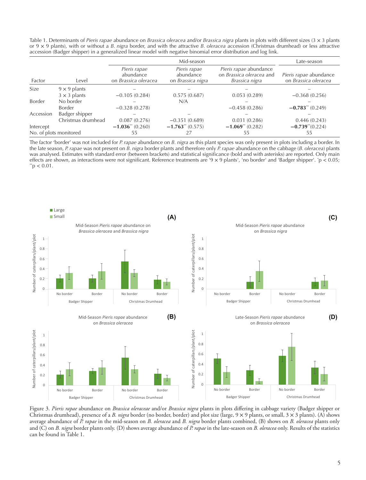Table 1. Determinants of *Pieris rapae* abundance on *Brassica oleracea* and/or *Brassica nigra* plants in plots with different sizes (3 × 3 plants or 9 × 9 plants), with or without a *B. nigra* border, and with the attractive *B. oleracea* accession (Christmas drumhead) or less attractive accession (Badger shipper) in a generalized linear model with negative binomial error distribution and log link.

|                        |                     | Mid-season                                        |                                                       |                                                                      | Late-season                                    |
|------------------------|---------------------|---------------------------------------------------|-------------------------------------------------------|----------------------------------------------------------------------|------------------------------------------------|
| Factor                 | Level               | Pieris rapae<br>abundance<br>on Brassica oleracea | Pieris rapae<br>abundance<br>on <i>Brassica nigra</i> | Pieris rapae abundance<br>on Brassica oleracea and<br>Brassica nigra | Pieris rapae abundance<br>on Brassica oleracea |
| Size                   | $9 \times 9$ plants |                                                   |                                                       |                                                                      |                                                |
|                        | $3 \times 3$ plants | $-0.105(0.284)$                                   | 0.575(0.687)                                          | 0.053(0.289)                                                         | $-0.368(0.256)$                                |
| <b>Border</b>          | No border           |                                                   | N/A                                                   |                                                                      |                                                |
|                        | Border              | $-0.328(0.278)$                                   |                                                       | $-0.458(0.286)$                                                      | $-0.783$ <sup>*</sup> * (0.249)                |
| Accession              | Badger shipper      |                                                   |                                                       |                                                                      |                                                |
|                        | Christmas drumhead  | 0.087(0.276)                                      | $-0.351(0.689)$                                       | 0.031(0.286)                                                         | 0.446(0.243)                                   |
| Intercept              |                     | $-1.036$ <sup>**</sup> (0.260)                    | $-1.763$ <sup>**</sup> (0.575)                        | $-1.069$ <sup>**</sup> (0.282)                                       | $-0.739^{**}(0.224)$                           |
| No. of plots monitored |                     | 55                                                | 27                                                    | 55                                                                   | 55                                             |

The factor 'border' was not included for *P. rapae* abundance on *B. nigra* as this plant species was only present in plots including a border. In the late season, *P. rapae* was not present on *B. nigra* border plants and therefore only *P. rapae* abundance on the cabbage (*B. oleracea*) plants was analysed. Estimates with standard error (between brackets) and statistical significance (bold and with asterisks) are reported. Only main effects are shown, as interactions were not significant. Reference treatments are '9 × 9 plants', 'no border' and 'Badger shipper'. \*p < 0.05;<br>\*\*p < 0.01.



Figure 3. *Pieris rapae* abundance on *Brassica oleraceae* and/or *Brassica nigra* plants in plots differing in cabbage variety (Badger shipper or Christmas drumhead), presence of a *B. nigra* border (no border, border) and plot size (large, 9 × 9 plants, or small, 3 × 3 plants). (A) shows average abundance of *P. rapae* in the mid-season on *B. oleracea* and *B. nigra* border plants combined, (B) shows on *B. oleracea* plants only and (C) on *B. nigra* border plants only. (D) shows average abundance of *P. rapae* in the late-season on *B. oleracea* only. Results of the statistics can be found in Table 1.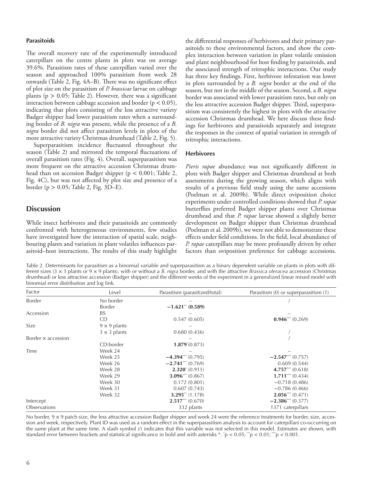#### **Parasitoids**

The overall recovery rate of the experimentally introduced caterpillars on the centre plants in plots was on average 39.6%. Parasitism rates of these caterpillars varied over the season and approached 100% parasitism from week 28 onwards (Table 2, Fig. 4A–B). There was no significant effect of plot size on the parasitism of *P. brassicae* larvae on cabbage plants ( $p > 0.05$ ; Table 2). However, there was a significant interaction between cabbage accession and border ( $p < 0.05$ ), indicating that plots consisting of the less attractive variety Badger shipper had lower parasitism rates when a surrounding border of *B. nigra* was present, while the presence of a *B. nigra* border did not affect parasitism levels in plots of the more attractive variety Christmas drumhead (Table 2, Fig. 5).

Superparasitism incidence fluctuated throughout the season (Table 2) and mirrored the temporal fluctuations of overall parasitism rates (Fig. 4). Overall, superparasitism was more frequent on the attractive accession Christmas drumhead than on accession Badger shipper ( $p < 0.001$ ; Table 2, Fig. 4C), but was not affected by plot size and presence of a border (p > 0.05; Table 2, Fig. 3D–E).

## **Discussion**

While insect herbivores and their parasitoids are commonly confronted with heterogeneous environments, few studies have investigated how the interaction of spatial scale, neighbouring plants and variation in plant volatiles influences parasitoid–host interactions. The results of this study highlight the differential responses of herbivores and their primary parasitoids to these environmental factors, and show the complex interaction between variation in plant volatile emission and plant neighbourhood for host finding by parasitoids, and the associated strength of tritrophic interactions. Our study has three key findings. First, herbivore infestation was lower in plots surrounded by a *B. nigra* border at the end of the season, but not in the middle of the season. Second, a *B. nigra* border was associated with lower parasitism rates, but only on the less attractive accession Badger shipper. Third, superparasitism was consistently the highest in plots with the attractive accession Christmas drumhead. We here discuss these findings for herbivores and parasitoids separately and integrate the responses in the context of spatial variation in strength of tritrophic interactions.

#### **Herbivores**

*Pieris rapae* abundance was not significantly different in plots with Badger shipper and Christmas drumhead at both assessments during the growing season, which aligns with results of a previous field study using the same accessions (Poelman et al. 2009b). While direct oviposition choice experiments under controlled conditions showed that *P. rapae* butterflies preferred Badger shipper plants over Christmas drumhead and that *P. rapae* larvae showed a slightly better development on Badger shipper than Christmas drumhead (Poelman et al. 2009b), we were not able to demonstrate these effects under field conditions. In the field, local abundance of *P. rapae* caterpillars may be more profoundly driven by other factors than oviposition preference for cabbage accessions.

Table 2. Determinants for parasitism as a binomial variable and superparasitism as a binary dependent variable on plants in plots with different sizes (3 × 3 plants or 9 × 9 plants), with or without a *B. nigra* border, and with the attractive *Brassica oleracea* accession (Christmas drumhead) or less attractive accession (Badger shipper) and the different weeks of the experiment in a generalized linear mixed model with binomial error distribution and log link.

| Factor                    | Level               | Parasitism (parasitized/total) | Parasitism (0) or superparasitism (1) |
|---------------------------|---------------------|--------------------------------|---------------------------------------|
| Border                    | No border           |                                |                                       |
|                           | Border              | $-1.621$ <sup>**</sup> (0.589) |                                       |
| Accession                 | <b>BS</b>           |                                |                                       |
|                           | CD                  | 0.547(0.605)                   | $0.946***$ (0.269)                    |
| Size                      | $9 \times 9$ plants |                                |                                       |
|                           | $3 \times 3$ plants | 0.680(0.436)                   |                                       |
| Border $\times$ accession |                     |                                |                                       |
|                           | CD:border           | $1.879*(0.873)$                |                                       |
| Time                      | Week 24             |                                |                                       |
|                           | Week 25             | $-4.394$ (0.795)               | $-2.547***$ (0.757)                   |
|                           | Week 26             | $-2.741***$ (0.769)            | 0.609(0.544)                          |
|                           | Week 28             | $2.320^{*}(0.911)$             | 4.757*** $(0.618)$                    |
|                           | Week 29             | $3.096***(0.867)$              | $1.711***$ (0.434)                    |
|                           | Week 30             | 0.172(0.801)                   | $-0.718(0.486)$                       |
|                           | Week 31             | 0.607(0.743)                   | $-0.786(0.466)$                       |
|                           | Week 32             | $3.295$ ** (1.178)             | $2.056***$ (0.471)                    |
| Intercept                 |                     | $2.517***$ (0.670)             | $-2.386^{\dots}$ (0.377)              |
| Observations              |                     | 332 plants                     | 1371 caterpillars                     |

No border,  $9 \times 9$  patch size, the less attractive accession Badger shipper and week 24 were the reference treatments for border, size, accession and week, respectively. Plant ID was used as a random effect in the superparasitism analysis to account for caterpillars co-occurring on the same plant at the same time. A slash symbol (/) indicates that this variable was not selected in this model. Estimates are shown, with standard error between brackets and statistical significance in bold and with asterisks \*. \*p < 0.05; \*\*p < 0.01; \*\*\*p < 0.001.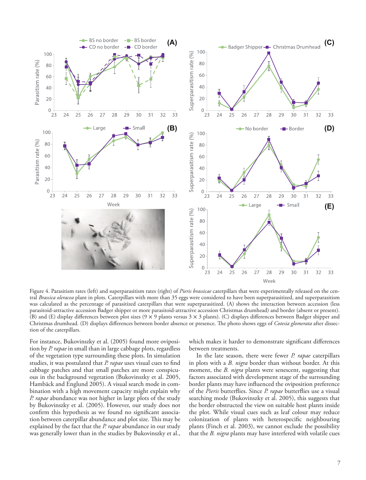

Figure 4. Parasitism rates (left) and superparasitism rates (right) of *Pieris brassicae* caterpillars that were experimentally released on the central *Brassica oleracea* plant in plots. Caterpillars with more than 35 eggs were considered to have been superparasitized, and superparasitism was calculated as the percentage of parasitized caterpillars that were superparasitized. (A) shows the interaction between accession (less parasitoid-attractive accession Badger shipper or more parasitoid-attractive accession Christmas drumhead) and border (absent or present). (B) and (E) display differences between plot sizes (9 × 9 plants versus 3 × 3 plants). (C) displays differences between Badger shipper and Christmas drumhead. (D) displays differences between border absence or presence. The photo shows eggs of *Cotesia glomerata* after dissection of the caterpillars.

For instance, Bukovinszky et al. (2005) found more oviposition by *P. rapae* in small than in large cabbage plots, regardless of the vegetation type surrounding these plots. In simulation studies, it was postulated that *P. rapae* uses visual cues to find cabbage patches and that small patches are more conspicuous in the background vegetation (Bukovinszky et al. 2005, Hambäck and Englund 2005). A visual search mode in combination with a high movement capacity might explain why *P. rapae* abundance was not higher in large plots of the study by Bukovinszky et al. (2005). However, our study does not confirm this hypothesis as we found no significant association between caterpillar abundance and plot size. This may be explained by the fact that the *P. rapae* abundance in our study was generally lower than in the studies by Bukovinszky et al., which makes it harder to demonstrate significant differences between treatments.

In the late season, there were fewer *P. rapae* caterpillars in plots with a *B. nigra* border than without border. At this moment, the *B. nigra* plants were senescent, suggesting that factors associated with development stage of the surrounding border plants may have influenced the oviposition preference of the *Pieris* butterflies. Since *P. rapae* butterflies use a visual searching mode (Bukovinszky et al. 2005), this suggests that the border obstructed the view on suitable host plants inside the plot. While visual cues such as leaf colour may reduce colonization of plants with heterospecific neighbouring plants (Finch et al. 2003), we cannot exclude the possibility that the *B. nigra* plants may have interfered with volatile cues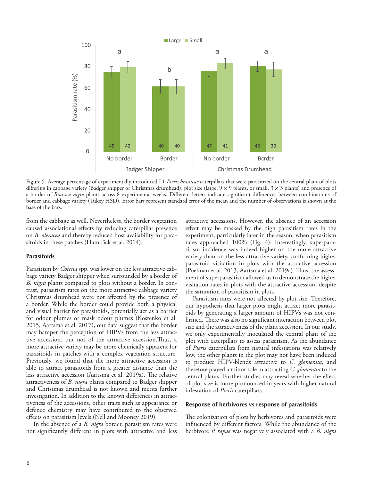

Figure 5. Average percentage of experimentally introduced L1 *Pieris brassicae* caterpillars that were parasitized on the central plant of plots differing in cabbage variety (Badger shipper or Christmas drumhead), plot size (large, 9 × 9 plants, or small, 3 × 3 plants) and presence of a border of *Brassica nigra* plants across 8 experimental weeks. Different letters indicate significant differences between combinations of border and cabbage variety (Tukey HSD). Error bars represent standard error of the mean and the number of observations is shown at the base of the bars.

from the cabbage as well. Nevertheless, the border vegetation caused associational effects by reducing caterpillar presence on *B. oleracea* and thereby reduced host availability for parasitoids in these patches (Hambäck et al. 2014).

#### **Parasitoids**

Parasitism by *Cotesia* spp. was lower on the less attractive cabbage variety Badger shipper when surrounded by a border of *B. nigra* plants compared to plots without a border. In contrast, parasitism rates on the more attractive cabbage variety Christmas drumhead were not affected by the presence of a border. While the border could provide both a physical and visual barrier for parasitoids, potentially act as a barrier for odour plumes or mask odour plumes (Kostenko et al. 2015, Aartsma et al. 2017), our data suggest that the border may hamper the perception of HIPVs from the less attractive accession, but not of the attractive accession.Thus, a more attractive variety may be more chemically apparent for parasitoids in patches with a complex vegetation structure. Previously, we found that the more attractive accession is able to attract parasitoids from a greater distance than the less attractive accession (Aartsma et al. 2019a). The relative attractiveness of *B. nigra* plants compared to Badger shipper and Christmas drumhead is not known and merits further investigation. In addition to the known differences in attractiveness of the accessions, other traits such as appearance or defence chemistry may have contributed to the observed effects on parasitism levels (Nell and Mooney 2019).

In the absence of a *B. nigra* border, parasitism rates were not significantly different in plots with attractive and less

attractive accessions. However, the absence of an accession effect may be masked by the high parasitism rates in the experiment, particularly later in the season, when parasitism rates approached 100% (Fig. 4). Interestingly, superparasitism incidence was indeed higher on the more attractive variety than on the less attractive variety, confirming higher parasitoid visitation in plots with the attractive accession (Poelman et al. 2013, Aartsma et al. 2019a). Thus, the assessment of superparasitism allowed us to demonstrate the higher visitation rates in plots with the attractive accession, despite the saturation of parasitism in plots.

Parasitism rates were not affected by plot size. Therefore, our hypothesis that larger plots might attract more parasitoids by generating a larger amount of HIPVs was not confirmed. There was also no significant interaction between plot size and the attractiveness of the plant accession. In our study, we only experimentally inoculated the central plant of the plot with caterpillars to assess parasitism. As the abundance of *Pieris* caterpillars from natural infestations was relatively low, the other plants in the plot may not have been induced to produce HIPV-blends attractive to *C. glomerata*, and therefore played a minor role in attracting *C. glomerata* to the central plants. Further studies may reveal whether the effect of plot size is more pronounced in years with higher natural infestation of *Pieris* caterpillars.

#### **Response of herbivores vs response of parasitoids**

The colonization of plots by herbivores and parasitoids were influenced by different factors. While the abundance of the herbivore *P. rapae* was negatively associated with a *B. nigra*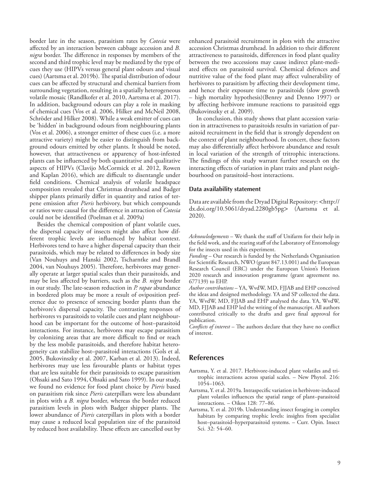border late in the season, parasitism rates by *Cotesia* were affected by an interaction between cabbage accession and *B. nigra* border. The difference in responses by members of the second and third trophic level may be mediated by the type of cues they use (HIPVs versus general plant odours and visual cues) (Aartsma et al. 2019b). The spatial distribution of odour cues can be affected by structural and chemical barriers from surrounding vegetation, resulting in a spatially heterogeneous volatile mosaic (Randlkofer et al. 2010, Aartsma et al. 2017). In addition, background odours can play a role in masking of chemical cues (Vos et al. 2006, Hilker and McNeil 2008, Schröder and Hilker 2008). While a weak emitter of cues can be 'hidden' in background odours from neighbouring plants (Vos et al. 2006), a stronger emitter of these cues (i.e. a more attractive variety) might be easier to distinguish from background odours emitted by other plants. It should be noted, however, that attractiveness or apparency of host-infested plants can be influenced by both quantitative and qualitative aspects of HIPVs (Clavijo McCormick et al. 2012, Rowen and Kaplan 2016), which are difficult to disentangle under field conditions. Chemical analysis of volatile headspace composition revealed that Christmas drumhead and Badger shipper plants primarily differ in quantity and ratios of terpene emission after *Pieris* herbivory, but which compounds or ratios were causal for the difference in attraction of *Cotesia* could not be identified (Poelman et al. 2009a)

Besides the chemical composition of plant volatile cues, the dispersal capacity of insects might also affect how different trophic levels are influenced by habitat context. Herbivores tend to have a higher dispersal capacity than their parasitoids, which may be related to differences in body size (Van Nouhuys and Hanski 2002, Tscharntke and Brandl 2004, van Nouhuys 2005). Therefore, herbivores may generally operate at larger spatial scales than their parasitoids, and may be less affected by barriers, such as the *B. nigra* border in our study. The late-season reduction in *P. rapae* abundance in bordered plots may be more a result of oviposition preference due to presence of senescing border plants than the herbivore's dispersal capacity. The contrasting responses of herbivores vs parasitoids to volatile cues and plant neighbourhood can be important for the outcome of host–parasitoid interactions. For instance, herbivores may escape parasitism by colonizing areas that are more difficult to find or reach by the less mobile parasitoids, and therefore habitat heterogeneity can stabilize host–parasitoid interactions (Gols et al. 2005, Bukovinszky et al. 2007, Karban et al. 2013). Indeed, herbivores may use less favourable plants or habitat types that are less suitable for their parasitoids to escape parasitism (Ohsaki and Sato 1994, Ohsaki and Sato 1999). In our study, we found no evidence for food plant choice by *Pieris* based on parasitism risk since *Pieris* caterpillars were less abundant in plots with a *B. nigra* border, whereas the border reduced parasitism levels in plots with Badger shipper plants. The lower abundance of *Pieris* caterpillars in plots with a border may cause a reduced local population size of the parasitoid by reduced host availability. These effects are cancelled out by

enhanced parasitoid recruitment in plots with the attractive accession Christmas drumhead. In addition to their different attractiveness to parasitoids, differences in food plant quality between the two accessions may cause indirect plant-mediated effects on parasitoid survival. Chemical defences and nutritive value of the food plant may affect vulnerability of herbivores to parasitism by affecting their development time, and hence their exposure time to parasitoids (slow growth – high mortality hypothesis)(Benrey and Denno 1997) or by affecting herbivore immune reactions to parasitoid eggs (Bukovinszky et al. 2009).

In conclusion, this study shows that plant accession variation in attractiveness to parasitoids results in variation of parasitoid recruitment in the field that is strongly dependent on the context of plant neighbourhood. In concert, these factors may also differentially affect herbivore abundance and result in local variation of the strength of tritrophic interactions. The findings of this study warrant further research on the interacting effects of variation in plant traits and plant neighbourhood on parasitoid–host interactions.

#### **Data availability statement**

Data are available from the Dryad Digital Repository: <http:// dx.doi.org/10.5061/dryad.2280gb5pg> (Aartsma et al. 2020).

*Acknowledgements* – We thank the staff of Unifarm for their help in the field work, and the rearing staff of the Laboratory of Entomology for the insects used in this experiment.

*Funding* – Our research is funded by the Netherlands Organisation for Scientific Research, NWO (grant 847.13.001) and the European Research Council (ERC) under the European Union's Horizon 2020 research and innovation programme (grant agreement no. 677139) to EHP.

*Author contributions* – YA, WvdW, MD, FJJAB and EHP conceived the ideas and designed methodology. YA and SP collected the data. YA, WvdW, MD, FJJAB and EHP analysed the data. YA, WvdW, MD, FJJAB and EHP led the writing of the manuscript. All authors contributed critically to the drafts and gave final approval for publication.

*Conflicts of interest* – The authors declare that they have no conflict of interest.

### **References**

- Aartsma, Y. et al. 2017. Herbivore-induced plant volatiles and tritrophic interactions across spatial scales. – New Phytol. 216: 1054–1063.
- Aartsma, Y. et al. 2019a. Intraspecific variation in herbivore-induced plant volatiles influences the spatial range of plant–parasitoid interactions. – Oikos 128: 77–86.
- Aartsma, Y. et al. 2019b. Understanding insect foraging in complex habitats by comparing trophic levels: insights from specialist host–parasitoid–hyperparasitoid systems. – Curr. Opin. Insect Sci. 32: 54–60.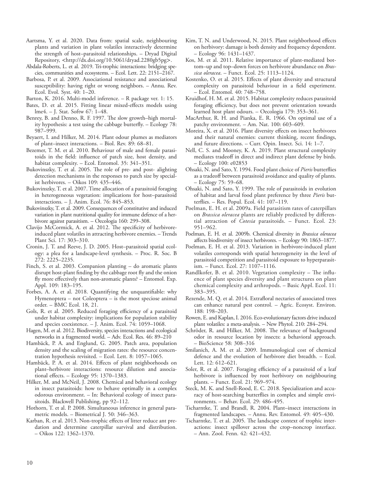- Aartsma, Y. et al. 2020. Data from: spatial scale, neighbouring plants and variation in plant volatiles interactively determine the strength of host–parasitoid relationships. – Dryad Digital Repository, <http://dx.doi.org/10.5061/dryad.2280gb5pg>.
- Abdala-Roberts, L. et al. 2019. Tri-trophic interactions: bridging species, communities and ecosystems. – Ecol. Lett. 22: 2151–2167.
- Barbosa, P. et al. 2009. Associational resistance and associational susceptibility: having right or wrong neighbors. – Annu. Rev. Ecol. Evol. Syst. 40: 1–20.
- Barton, K. 2016. Multi-model inference. R package ver. 1: 15.
- Bates, D. et al. 2015. Fitting linear mixed-effects models using lme4. – J. Stat. Softw 67: 1–48.
- Benrey, B. and Denno, R. F. 1997. The slow growth–high mortality hypothesis: a test using the cabbage butterfly. – Ecology 78: 987–999.
- Beyaert, I. and Hilker, M. 2014. Plant odour plumes as mediators of plant–insect interactions. – Biol. Rev. 89: 68–81.
- Bezemer, T. M. et al. 2010. Behaviour of male and female parasitoids in the field: influence of patch size, host density, and habitat complexity. – Ecol. Entomol. 35: 341–351.
- Bukovinszky, T. et al. 2005. The role of pre- and post- alighting detection mechanisms in the responses to patch size by specialist herbivores. – Oikos 109: 435–446.
- Bukovinszky, T. et al. 2007. Time allocation of a parasitoid foraging in heterogeneous vegetation: implications for host–parasitoid interactions. – J. Anim. Ecol. 76: 845–853.
- Bukovinszky, T. et al. 2009. Consequences of constitutive and induced variation in plant nutritional quality for immune defence of a herbivore against parasitism. – Oecologia 160: 299–308.
- Clavijo McCormick, A. et al. 2012. The specificity of herbivoreinduced plant volatiles in attracting herbivore enemies. – Trends Plant Sci. 17: 303–310.
- Cronin, J. T. and Reeve, J. D. 2005. Host–parasitoid spatial ecology: a plea for a landscape-level synthesis. – Proc. R. Soc. B 272: 2225–2235.
- Finch, S. et al. 2003. Companion planting do aromatic plants disrupt host-plant finding by the cabbage root fly and the onion fly more effectively than non-aromatic plants? – Entomol. Exp. Appl. 109: 183–195.
- Forbes, A. A. et al. 2018. Quantifying the unquantifiable: why Hymenoptera – not Coleoptera – is the most speciose animal order. – BMC Ecol. 18, 21.
- Gols, R. et al. 2005. Reduced foraging efficiency of a parasitoid under habitat complexity: implications for population stability and species coexistence. – J. Anim. Ecol. 74: 1059–1068.
- Hagen, M. et al. 2012. Biodiversity, species interactions and ecological networks in a fragmented world. – Adv. Ecol. Res. 46: 89–210
- Hambäck, P. A. and Englund, G. 2005. Patch area, population density and the scaling of migration rates: the resource concentration hypothesis revisited. – Ecol. Lett. 8: 1057–1065.
- Hambäck, P. A. et al. 2014. Effects of plant neighborhoods on plant–herbivore interactions: resource dilution and associational effects. – Ecology 95: 1370–1383.
- Hilker, M. and McNeil, J. 2008. Chemical and behavioral ecology in insect parasitoids: how to behave optimally in a complex odorous environment. – In: Behavioral ecology of insect parasitoids. Blackwell Publishing, pp 92–112.
- Hothorn, T. et al. P. 2008. Simultaneous inference in general parametric models. – Biometrical J. 50: 346–363.
- Karban, R. et al. 2013. Non-trophic effects of litter reduce ant predation and determine caterpillar survival and distribution. – Oikos 122: 1362–1370.
- Kim, T. N. and Underwood, N. 2015. Plant neighborhood effects on herbivory: damage is both density and frequency dependent. – Ecology 96: 1431–1437.
- Kos, M. et al. 2011. Relative importance of plant-mediated bottom–up and top–down forces on herbivore abundance on *Brassica oleracea*. – Funct. Ecol. 25: 1113–1124.
- Kostenko, O. et al. 2015. Effects of plant diversity and structural complexity on parasitoid behaviour in a field experiment. – Ecol. Entomol. 40: 748–758.
- Kruidhof, H. M. et al. 2015. Habitat complexity reduces parasitoid foraging efficiency, but does not prevent orientation towards learned host plant odours. – Oecologia 179: 353–361.
- MacArthur, R. H. and Pianka, E. R. 1966. On optimal use of a patchy environment. – Am. Nat. 100: 603–609.
- Moreira, X. et al. 2016. Plant diversity effects on insect herbivores and their natural enemies: current thinking, recent findings, and future directions. – Curr. Opin. Insect. Sci. 14: 1–7.
- Nell, C. S. and Mooney, K. A. 2019. Plant structural complexity mediates tradeoff in direct and indirect plant defense by birds. – Ecology 100: e02853
- Ohsaki, N. and Sato, Y. 1994. Food plant choice of *Pieris* butterflies as a tradeoff between parasitoid avoidance and quality of plants. – Ecology 75: 59–68.
- Ohsaki, N. and Sato, Y. 1999. The role of parasitoids in evolution of habitat and larval food plant preference by three *Pieris* butterflies. – Res. Popul. Ecol. 41: 107–119.
- Poelman, E. H. et al. 2009a. Field parasitism rates of caterpillars on *Brassica oleracea* plants are reliably predicted by differential attraction of *Cotesia* parasitoids. – Funct. Ecol. 23: 951–962.
- Poelman, E. H. et al. 2009b. Chemical diversity in *Brassica oleracea* affects biodiversity of insect herbivores. – Ecology 90: 1863–1877.
- Poelman, E. H. et al. 2013. Variation in herbivore-induced plant volatiles corresponds with spatial heterogeneity in the level of parasitoid competition and parasitoid exposure to hyperparasitism. – Funct. Ecol. 27: 1107–1116.
- Randlkofer, B. et al. 2010. Vegetation complexity The influence of plant species diversity and plant structures on plant chemical complexity and arthropods. – Basic Appl. Ecol. 11: 383–395.
- Rezende, M. Q. et al. 2014. Extrafloral nectaries of associated trees can enhance natural pest control. – Agric. Ecosyst. Environ. 188: 198–203.
- Rowen, E. and Kaplan, I. 2016. Eco-evolutionary factors drive induced plant volatiles: a meta-analysis. – New Phytol. 210: 284–294.
- Schröder, R. and Hilker, M. 2008. The relevance of background odor in resource location by insects: a behavioral approach. – BioScience 58: 308–316
- Smilanich, A. M. et al. 2009. Immunological cost of chemical defence and the evolution of herbivore diet breadth. – Ecol. Lett. 12: 612–621.
- Soler, R. et al. 2007. Foraging efficiency of a parasitoid of a leaf herbivore is influenced by root herbivory on neighbouring plants. – Funct. Ecol. 21: 969–974.
- Steck, M. K. and Snell-Rood, E. C. 2018. Specialization and accuracy of host-searching butterflies in complex and simple environments. – Behav. Ecol. 29: 486–495.
- Tscharntke, T. and Brandl, R. 2004. Plant–insect interactions in fragmented landscapes. – Annu. Rev. Entomol. 49: 405–430.
- Tscharntke, T. et al. 2005. The landscape context of trophic interactions: insect spillover across the crop–noncrop interface. – Ann. Zool. Fenn. 42: 421–432.